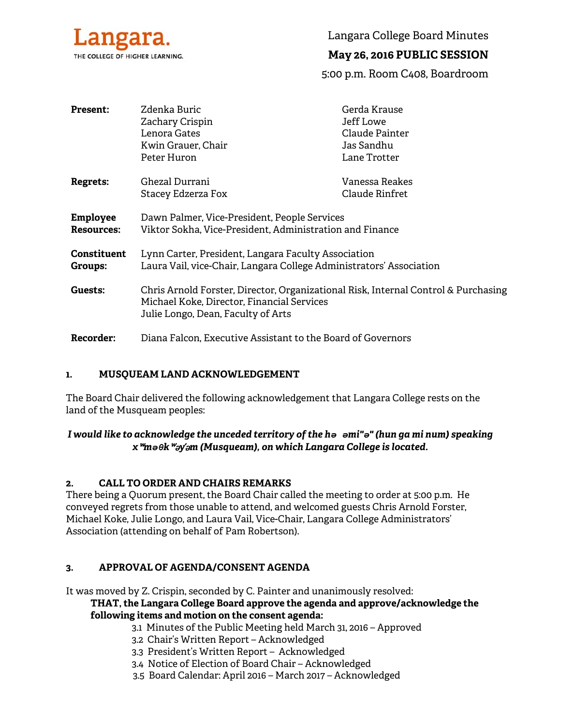

Langara College Board Minutes

# **May 26, 2016 PUBLIC SESSION**

5:00 p.m. Room C408, Boardroom

| <b>Present:</b>                      | Zdenka Buric<br>Zachary Crispin<br>Lenora Gates<br>Kwin Grauer, Chair<br>Peter Huron                                                                                   | Gerda Krause<br>Jeff Lowe<br>Claude Painter<br>Jas Sandhu<br>Lane Trotter |  |
|--------------------------------------|------------------------------------------------------------------------------------------------------------------------------------------------------------------------|---------------------------------------------------------------------------|--|
|                                      | Ghezal Durrani                                                                                                                                                         | Vanessa Reakes                                                            |  |
| <b>Regrets:</b>                      | Stacey Edzerza Fox                                                                                                                                                     | Claude Rinfret                                                            |  |
| <b>Employee</b><br><b>Resources:</b> | Dawn Palmer, Vice-President, People Services<br>Viktor Sokha, Vice-President, Administration and Finance                                                               |                                                                           |  |
| <b>Constituent</b><br>Groups:        | Lynn Carter, President, Langara Faculty Association<br>Laura Vail, vice-Chair, Langara College Administrators' Association                                             |                                                                           |  |
| Guests:                              | Chris Arnold Forster, Director, Organizational Risk, Internal Control & Purchasing<br>Michael Koke, Director, Financial Services<br>Julie Longo, Dean, Faculty of Arts |                                                                           |  |
| <b>Recorder:</b>                     | Diana Falcon, Executive Assistant to the Board of Governors                                                                                                            |                                                                           |  |

## **1. MUSQUEAM LAND ACKNOWLEDGEMENT**

The Board Chair delivered the following acknowledgement that Langara College rests on the land of the Musqueam peoples:

## *I would like to acknowledge the unceded territory of the hə əmi"ə" (hun ga mi num) speaking x*ʷ*məθk*ʷə*y*̓ə*m (Musqueam), on which Langara College is located.*

## **2. CALL TO ORDER AND CHAIRS REMARKS**

There being a Quorum present, the Board Chair called the meeting to order at 5:00 p.m. He conveyed regrets from those unable to attend, and welcomed guests Chris Arnold Forster, Michael Koke, Julie Longo, and Laura Vail, Vice-Chair, Langara College Administrators' Association (attending on behalf of Pam Robertson).

## **3. APPROVAL OF AGENDA/CONSENT AGENDA**

It was moved by Z. Crispin, seconded by C. Painter and unanimously resolved:

## **THAT, the Langara College Board approve the agenda and approve/acknowledge the following items and motion on the consent agenda:**

- 3.1 Minutes of the Public Meeting held March 31, 2016 Approved
- 3.2 Chair's Written Report Acknowledged
- 3.3 President's Written Report Acknowledged
- 3.4 Notice of Election of Board Chair Acknowledged
- 3.5 Board Calendar: April 2016 March 2017 Acknowledged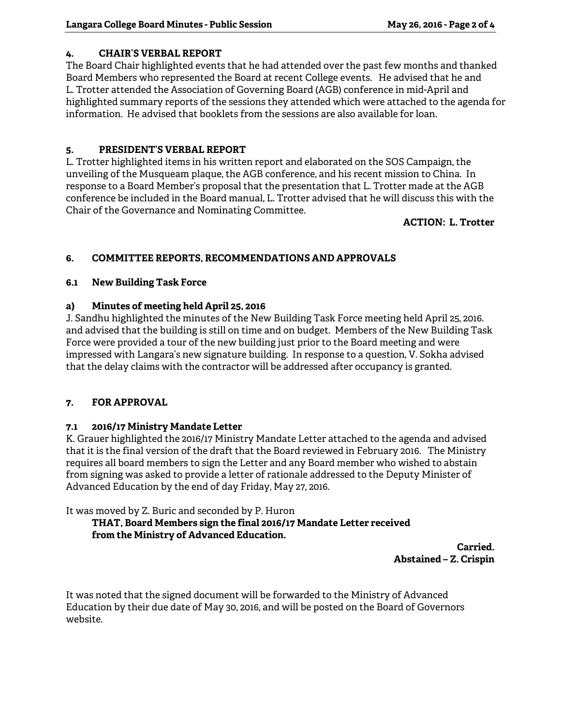## **4. CHAIR'S VERBAL REPORT**

The Board Chair highlighted events that he had attended over the past few months and thanked Board Members who represented the Board at recent College events. He advised that he and L. Trotter attended the Association of Governing Board (AGB) conference in mid-April and highlighted summary reports of the sessions they attended which were attached to the agenda for information. He advised that booklets from the sessions are also available for loan.

## **5. PRESIDENT'S VERBAL REPORT**

L. Trotter highlighted items in his written report and elaborated on the SOS Campaign, the unveiling of the Musqueam plaque, the AGB conference, and his recent mission to China. In response to a Board Member's proposal that the presentation that L. Trotter made at the AGB conference be included in the Board manual, L. Trotter advised that he will discuss this with the Chair of the Governance and Nominating Committee.

**ACTION: L. Trotter** 

## **6. COMMITTEE REPORTS, RECOMMENDATIONS AND APPROVALS**

## **6.1 New Building Task Force**

## **a) Minutes of meeting held April 25, 2016**

J. Sandhu highlighted the minutes of the New Building Task Force meeting held April 25, 2016. and advised that the building is still on time and on budget. Members of the New Building Task Force were provided a tour of the new building just prior to the Board meeting and were impressed with Langara's new signature building. In response to a question, V. Sokha advised that the delay claims with the contractor will be addressed after occupancy is granted.

## **7. FOR APPROVAL**

## **7.1 2016/17 Ministry Mandate Letter**

K. Grauer highlighted the 2016/17 Ministry Mandate Letter attached to the agenda and advised that it is the final version of the draft that the Board reviewed in February 2016. The Ministry requires all board members to sign the Letter and any Board member who wished to abstain from signing was asked to provide a letter of rationale addressed to the Deputy Minister of Advanced Education by the end of day Friday, May 27, 2016.

It was moved by Z. Buric and seconded by P. Huron

## **THAT, Board Members sign the final 2016/17 Mandate Letter received from the Ministry of Advanced Education.**

**Carried. Abstained – Z. Crispin** 

It was noted that the signed document will be forwarded to the Ministry of Advanced Education by their due date of May 30, 2016, and will be posted on the Board of Governors website.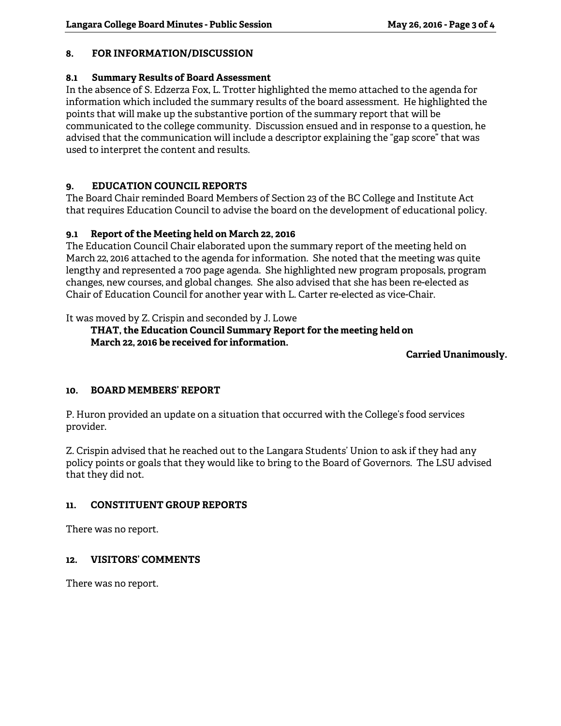## **8. FOR INFORMATION/DISCUSSION**

## **8.1 Summary Results of Board Assessment**

In the absence of S. Edzerza Fox, L. Trotter highlighted the memo attached to the agenda for information which included the summary results of the board assessment. He highlighted the points that will make up the substantive portion of the summary report that will be communicated to the college community. Discussion ensued and in response to a question, he advised that the communication will include a descriptor explaining the "gap score" that was used to interpret the content and results.

## **9. EDUCATION COUNCIL REPORTS**

The Board Chair reminded Board Members of Section 23 of the BC College and Institute Act that requires Education Council to advise the board on the development of educational policy.

## **9.1 Report of the Meeting held on March 22, 2016**

The Education Council Chair elaborated upon the summary report of the meeting held on March 22, 2016 attached to the agenda for information. She noted that the meeting was quite lengthy and represented a 700 page agenda. She highlighted new program proposals, program changes, new courses, and global changes. She also advised that she has been re-elected as Chair of Education Council for another year with L. Carter re-elected as vice-Chair.

It was moved by Z. Crispin and seconded by J. Lowe

 **THAT, the Education Council Summary Report for the meeting held on March 22, 2016 be received for information.** 

**Carried Unanimously.** 

## **10. BOARD MEMBERS' REPORT**

P. Huron provided an update on a situation that occurred with the College's food services provider.

Z. Crispin advised that he reached out to the Langara Students' Union to ask if they had any policy points or goals that they would like to bring to the Board of Governors. The LSU advised that they did not.

## **11. CONSTITUENT GROUP REPORTS**

There was no report.

## **12. VISITORS' COMMENTS**

There was no report.